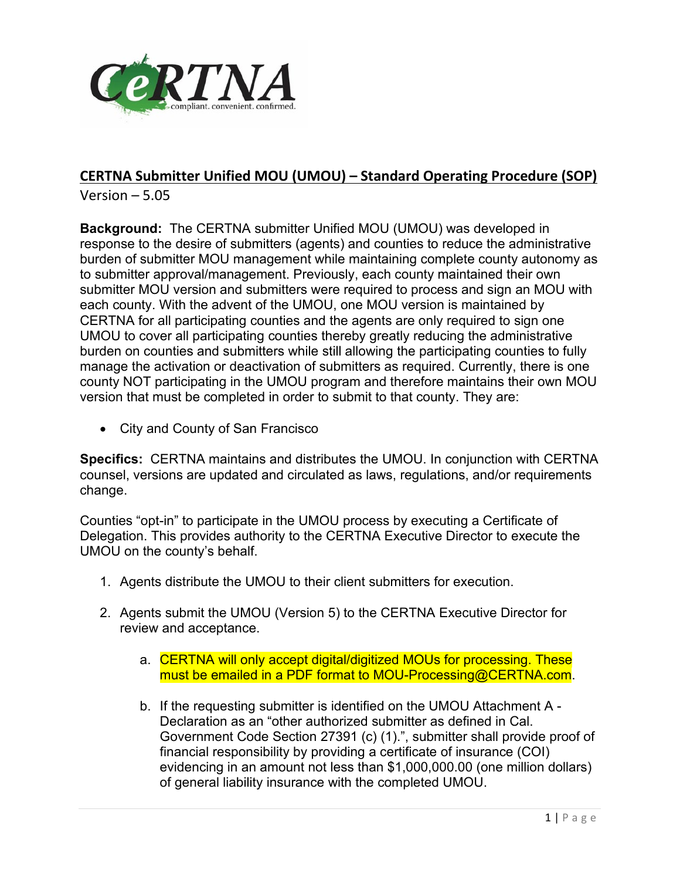

## **CERTNA Submitter Unified MOU (UMOU) – Standard Operating Procedure (SOP)**

Version – 5.05

**Background:** The CERTNA submitter Unified MOU (UMOU) was developed in response to the desire of submitters (agents) and counties to reduce the administrative burden of submitter MOU management while maintaining complete county autonomy as to submitter approval/management. Previously, each county maintained their own submitter MOU version and submitters were required to process and sign an MOU with each county. With the advent of the UMOU, one MOU version is maintained by CERTNA for all participating counties and the agents are only required to sign one UMOU to cover all participating counties thereby greatly reducing the administrative burden on counties and submitters while still allowing the participating counties to fully manage the activation or deactivation of submitters as required. Currently, there is one county NOT participating in the UMOU program and therefore maintains their own MOU version that must be completed in order to submit to that county. They are:

• City and County of San Francisco

**Specifics:** CERTNA maintains and distributes the UMOU. In conjunction with CERTNA counsel, versions are updated and circulated as laws, regulations, and/or requirements change.

Counties "opt-in" to participate in the UMOU process by executing a Certificate of Delegation. This provides authority to the CERTNA Executive Director to execute the UMOU on the county's behalf.

- 1. Agents distribute the UMOU to their client submitters for execution.
- 2. Agents submit the UMOU (Version 5) to the CERTNA Executive Director for review and acceptance.
	- a. CERTNA will only accept digital/digitized MOUs for processing. These must be emailed in a PDF format to MOU-Processing@CERTNA.com.
	- b. If the requesting submitter is identified on the UMOU Attachment A Declaration as an "other authorized submitter as defined in Cal. Government Code Section 27391 (c) (1).", submitter shall provide proof of financial responsibility by providing a certificate of insurance (COI) evidencing in an amount not less than \$1,000,000.00 (one million dollars) of general liability insurance with the completed UMOU.